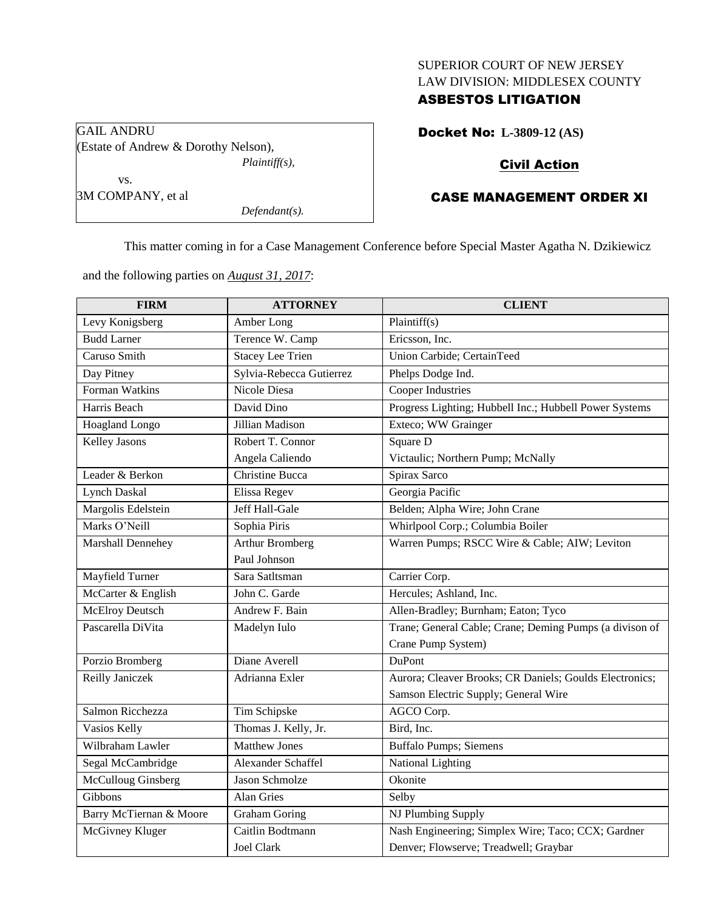## SUPERIOR COURT OF NEW JERSEY LAW DIVISION: MIDDLESEX COUNTY

## ASBESTOS LITIGATION

Docket No: **L-3809-12 (AS)** 

# Civil Action

# CASE MANAGEMENT ORDER XI

This matter coming in for a Case Management Conference before Special Master Agatha N. Dzikiewicz

and the following parties on *August 31, 2017*:

*Defendant(s).*

| <b>FIRM</b>             | <b>ATTORNEY</b>          | <b>CLIENT</b>                                           |
|-------------------------|--------------------------|---------------------------------------------------------|
| Levy Konigsberg         | Amber Long               | Plaintiff(s)                                            |
| <b>Budd Larner</b>      | Terence W. Camp          | Ericsson, Inc.                                          |
| Caruso Smith            | <b>Stacey Lee Trien</b>  | Union Carbide; CertainTeed                              |
| Day Pitney              | Sylvia-Rebecca Gutierrez | Phelps Dodge Ind.                                       |
| Forman Watkins          | Nicole Diesa             | Cooper Industries                                       |
| Harris Beach            | David Dino               | Progress Lighting; Hubbell Inc.; Hubbell Power Systems  |
| Hoagland Longo          | Jillian Madison          | Exteco; WW Grainger                                     |
| Kelley Jasons           | Robert T. Connor         | Square D                                                |
|                         | Angela Caliendo          | Victaulic; Northern Pump; McNally                       |
| Leader & Berkon         | Christine Bucca          | Spirax Sarco                                            |
| <b>Lynch Daskal</b>     | Elissa Regev             | Georgia Pacific                                         |
| Margolis Edelstein      | Jeff Hall-Gale           | Belden; Alpha Wire; John Crane                          |
| Marks O'Neill           | Sophia Piris             | Whirlpool Corp.; Columbia Boiler                        |
| Marshall Dennehey       | <b>Arthur Bromberg</b>   | Warren Pumps; RSCC Wire & Cable; AIW; Leviton           |
|                         | Paul Johnson             |                                                         |
| Mayfield Turner         | Sara Satltsman           | Carrier Corp.                                           |
| McCarter & English      | John C. Garde            | Hercules; Ashland, Inc.                                 |
| <b>McElroy Deutsch</b>  | Andrew F. Bain           | Allen-Bradley; Burnham; Eaton; Tyco                     |
| Pascarella DiVita       | Madelyn Iulo             | Trane; General Cable; Crane; Deming Pumps (a divison of |
|                         |                          | Crane Pump System)                                      |
| Porzio Bromberg         | Diane Averell            | DuPont                                                  |
| Reilly Janiczek         | Adrianna Exler           | Aurora; Cleaver Brooks; CR Daniels; Goulds Electronics; |
|                         |                          | Samson Electric Supply; General Wire                    |
| Salmon Ricchezza        | Tim Schipske             | AGCO Corp.                                              |
| Vasios Kelly            | Thomas J. Kelly, Jr.     | Bird, Inc.                                              |
| Wilbraham Lawler        | <b>Matthew Jones</b>     | <b>Buffalo Pumps; Siemens</b>                           |
| Segal McCambridge       | Alexander Schaffel       | <b>National Lighting</b>                                |
| McCulloug Ginsberg      | <b>Jason Schmolze</b>    | Okonite                                                 |
| Gibbons                 | Alan Gries               | Selby                                                   |
| Barry McTiernan & Moore | <b>Graham Goring</b>     | NJ Plumbing Supply                                      |
| McGivney Kluger         | Caitlin Bodtmann         | Nash Engineering; Simplex Wire; Taco; CCX; Gardner      |
|                         | Joel Clark               | Denver; Flowserve; Treadwell; Graybar                   |

GAIL ANDRU (Estate of Andrew & Dorothy Nelson), *Plaintiff(s),* vs. 3M COMPANY, et al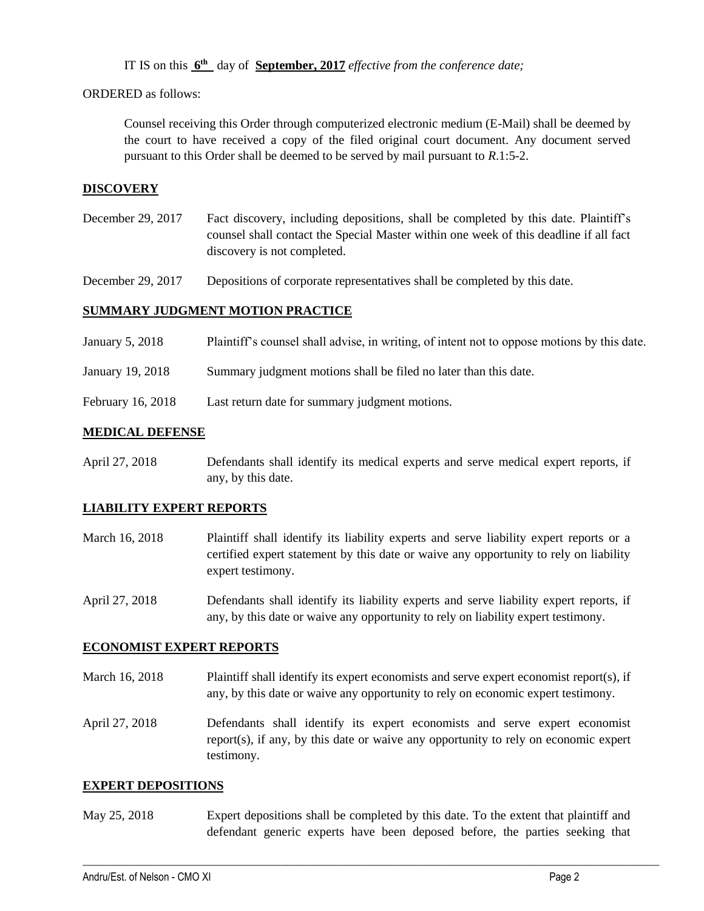IT IS on this  $6^{\text{th}}$  day of **September, 2017** *effective from the conference date*;

ORDERED as follows:

Counsel receiving this Order through computerized electronic medium (E-Mail) shall be deemed by the court to have received a copy of the filed original court document. Any document served pursuant to this Order shall be deemed to be served by mail pursuant to *R*.1:5-2.

# **DISCOVERY**

December 29, 2017 Fact discovery, including depositions, shall be completed by this date. Plaintiff's counsel shall contact the Special Master within one week of this deadline if all fact discovery is not completed.

December 29, 2017 Depositions of corporate representatives shall be completed by this date.

# **SUMMARY JUDGMENT MOTION PRACTICE**

| Plaintiff's counsel shall advise, in writing, of intent not to oppose motions by this date.<br>January 5, 2018 |  |
|----------------------------------------------------------------------------------------------------------------|--|
|----------------------------------------------------------------------------------------------------------------|--|

- January 19, 2018 Summary judgment motions shall be filed no later than this date.
- February 16, 2018 Last return date for summary judgment motions.

## **MEDICAL DEFENSE**

April 27, 2018 Defendants shall identify its medical experts and serve medical expert reports, if any, by this date.

#### **LIABILITY EXPERT REPORTS**

- March 16, 2018 Plaintiff shall identify its liability experts and serve liability expert reports or a certified expert statement by this date or waive any opportunity to rely on liability expert testimony.
- April 27, 2018 Defendants shall identify its liability experts and serve liability expert reports, if any, by this date or waive any opportunity to rely on liability expert testimony.

#### **ECONOMIST EXPERT REPORTS**

March 16, 2018 Plaintiff shall identify its expert economists and serve expert economist report(s), if any, by this date or waive any opportunity to rely on economic expert testimony.

April 27, 2018 Defendants shall identify its expert economists and serve expert economist report(s), if any, by this date or waive any opportunity to rely on economic expert testimony.

#### **EXPERT DEPOSITIONS**

May 25, 2018 Expert depositions shall be completed by this date. To the extent that plaintiff and defendant generic experts have been deposed before, the parties seeking that

 $\_$  ,  $\_$  ,  $\_$  ,  $\_$  ,  $\_$  ,  $\_$  ,  $\_$  ,  $\_$  ,  $\_$  ,  $\_$  ,  $\_$  ,  $\_$  ,  $\_$  ,  $\_$  ,  $\_$  ,  $\_$  ,  $\_$  ,  $\_$  ,  $\_$  ,  $\_$  ,  $\_$  ,  $\_$  ,  $\_$  ,  $\_$  ,  $\_$  ,  $\_$  ,  $\_$  ,  $\_$  ,  $\_$  ,  $\_$  ,  $\_$  ,  $\_$  ,  $\_$  ,  $\_$  ,  $\_$  ,  $\_$  ,  $\_$  ,